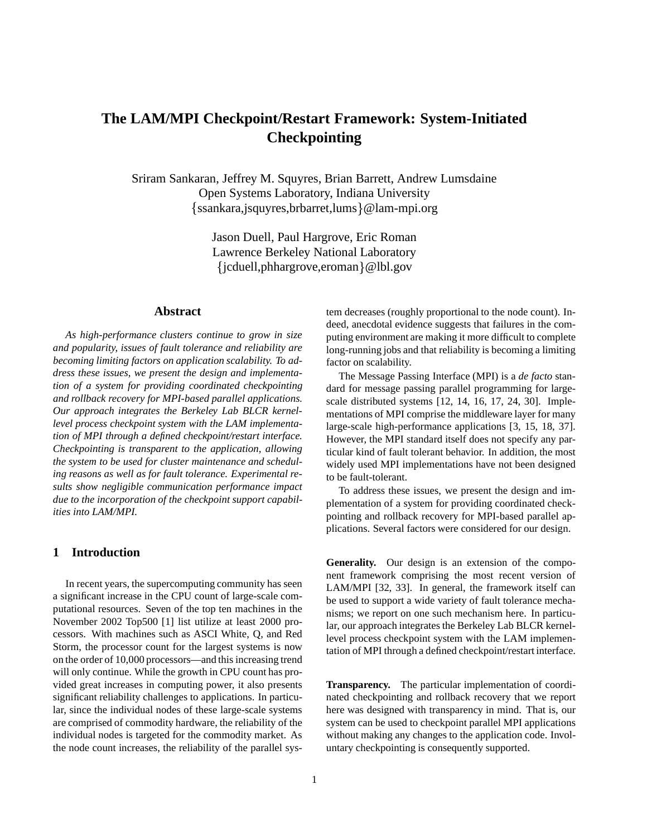# **The LAM/MPI Checkpoint/Restart Framework: System-Initiated Checkpointing**

Sriram Sankaran, Jeffrey M. Squyres, Brian Barrett, Andrew Lumsdaine Open Systems Laboratory, Indiana University ssankara,jsquyres,brbarret,lums @lam-mpi.org

> Jason Duell, Paul Hargrove, Eric Roman Lawrence Berkeley National Laboratory {jcduell,phhargrove,eroman} @lbl.gov

## **Abstract**

*As high-performance clusters continue to grow in size and popularity, issues of fault tolerance and reliability are becoming limiting factors on application scalability. To address these issues, we present the design and implementation of a system for providing coordinated checkpointing and rollback recovery for MPI-based parallel applications. Our approach integrates the Berkeley Lab BLCR kernellevel process checkpoint system with the LAM implementation of MPI through a defined checkpoint/restart interface. Checkpointing is transparent to the application, allowing the system to be used for cluster maintenance and scheduling reasons as well as for fault tolerance. Experimental results show negligible communication performance impact due to the incorporation of the checkpoint support capabilities into LAM/MPI.*

## **1 Introduction**

In recent years, the supercomputing community has seen a significant increase in the CPU count of large-scale computational resources. Seven of the top ten machines in the November 2002 Top500 [1] list utilize at least 2000 processors. With machines such as ASCI White, Q, and Red Storm, the processor count for the largest systems is now on the order of 10,000 processors—and this increasing trend will only continue. While the growth in CPU count has provided great increases in computing power, it also presents significant reliability challenges to applications. In particular, since the individual nodes of these large-scale systems are comprised of commodity hardware, the reliability of the individual nodes is targeted for the commodity market. As the node count increases, the reliability of the parallel system decreases (roughly proportional to the node count). Indeed, anecdotal evidence suggests that failures in the computing environment are making it more difficult to complete long-running jobs and that reliability is becoming a limiting factor on scalability.

The Message Passing Interface (MPI) is a *de facto* standard for message passing parallel programming for largescale distributed systems [12, 14, 16, 17, 24, 30]. Implementations of MPI comprise the middleware layer for many large-scale high-performance applications [3, 15, 18, 37]. However, the MPI standard itself does not specify any particular kind of fault tolerant behavior. In addition, the most widely used MPI implementations have not been designed to be fault-tolerant.

To address these issues, we present the design and implementation of a system for providing coordinated checkpointing and rollback recovery for MPI-based parallel applications. Several factors were considered for our design.

**Generality.** Our design is an extension of the component framework comprising the most recent version of LAM/MPI [32, 33]. In general, the framework itself can be used to support a wide variety of fault tolerance mechanisms; we report on one such mechanism here. In particular, our approach integrates the Berkeley Lab BLCR kernellevel process checkpoint system with the LAM implementation of MPI through a defined checkpoint/restart interface.

**Transparency.** The particular implementation of coordinated checkpointing and rollback recovery that we report here was designed with transparency in mind. That is, our system can be used to checkpoint parallel MPI applications without making any changes to the application code. Involuntary checkpointing is consequently supported.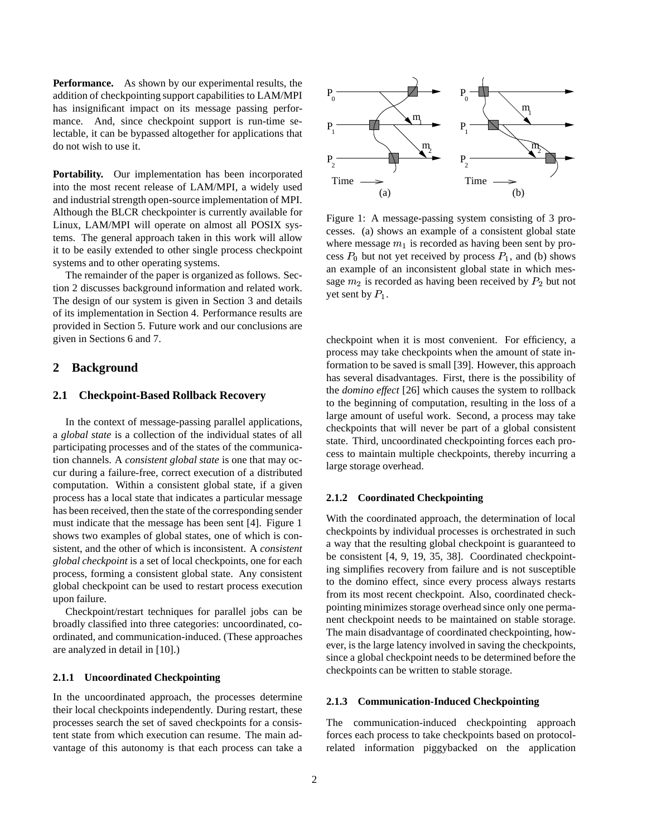**Performance.** As shown by our experimental results, the addition of checkpointing support capabilities to LAM/MPI has insignificant impact on its message passing performance. And, since checkpoint support is run-time selectable, it can be bypassed altogether for applications that do not wish to use it.

**Portability.** Our implementation has been incorporated into the most recent release of LAM/MPI, a widely used and industrial strength open-source implementation of MPI. Although the BLCR checkpointer is currently available for Linux, LAM/MPI will operate on almost all POSIX systems. The general approach taken in this work will allow it to be easily extended to other single process checkpoint systems and to other operating systems.

The remainder of the paper is organized as follows. Section 2 discusses background information and related work. The design of our system is given in Section 3 and details of its implementation in Section 4. Performance results are provided in Section 5. Future work and our conclusions are given in Sections 6 and 7.

#### **2 Background**

#### **2.1 Checkpoint-Based Rollback Recovery**

In the context of message-passing parallel applications, a *global state* is a collection of the individual states of all participating processes and of the states of the communication channels. A *consistent global state* is one that may occur during a failure-free, correct execution of a distributed computation. Within a consistent global state, if a given process has a local state that indicates a particular message has been received, then the state of the corresponding sender must indicate that the message has been sent [4]. Figure 1 shows two examples of global states, one of which is consistent, and the other of which is inconsistent. A *consistent global checkpoint* is a set of local checkpoints, one for each process, forming a consistent global state. Any consistent global checkpoint can be used to restart process execution upon failure.

Checkpoint/restart techniques for parallel jobs can be broadly classified into three categories: uncoordinated, coordinated, and communication-induced. (These approaches are analyzed in detail in [10].)

#### **2.1.1 Uncoordinated Checkpointing**

In the uncoordinated approach, the processes determine their local checkpoints independently. During restart, these processes search the set of saved checkpoints for a consistent state from which execution can resume. The main advantage of this autonomy is that each process can take a



Figure 1: A message-passing system consisting of 3 processes. (a) shows an example of a consistent global state where message  $m_1$  is recorded as having been sent by process  $P_0$  but not yet received by process  $P_1$ , and (b) shows an example of an inconsistent global state in which message  $m_2$  is recorded as having been received by  $P_2$  but not yet sent by  $P_1$ .

checkpoint when it is most convenient. For efficiency, a process may take checkpoints when the amount of state information to be saved is small [39]. However, this approach has several disadvantages. First, there is the possibility of the *domino effect* [26] which causes the system to rollback to the beginning of computation, resulting in the loss of a large amount of useful work. Second, a process may take checkpoints that will never be part of a global consistent state. Third, uncoordinated checkpointing forces each process to maintain multiple checkpoints, thereby incurring a large storage overhead.

#### **2.1.2 Coordinated Checkpointing**

With the coordinated approach, the determination of local checkpoints by individual processes is orchestrated in such a way that the resulting global checkpoint is guaranteed to be consistent [4, 9, 19, 35, 38]. Coordinated checkpointing simplifies recovery from failure and is not susceptible to the domino effect, since every process always restarts from its most recent checkpoint. Also, coordinated checkpointing minimizes storage overhead since only one permanent checkpoint needs to be maintained on stable storage. The main disadvantage of coordinated checkpointing, however, is the large latency involved in saving the checkpoints, since a global checkpoint needs to be determined before the checkpoints can be written to stable storage.

#### **2.1.3 Communication-Induced Checkpointing**

The communication-induced checkpointing approach forces each process to take checkpoints based on protocolrelated information piggybacked on the application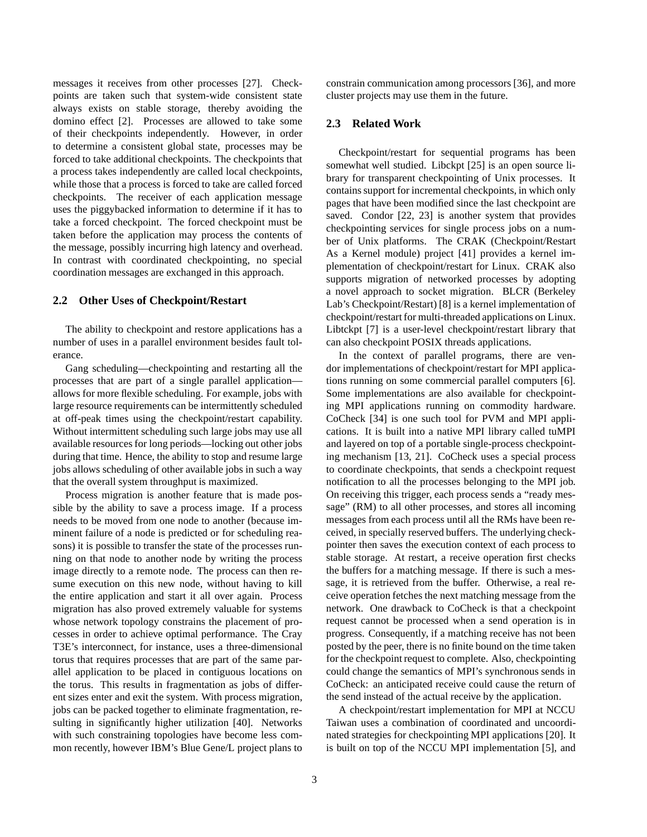messages it receives from other processes [27]. Checkpoints are taken such that system-wide consistent state always exists on stable storage, thereby avoiding the domino effect [2]. Processes are allowed to take some of their checkpoints independently. However, in order to determine a consistent global state, processes may be forced to take additional checkpoints. The checkpoints that a process takes independently are called local checkpoints, while those that a process is forced to take are called forced checkpoints. The receiver of each application message uses the piggybacked information to determine if it has to take a forced checkpoint. The forced checkpoint must be taken before the application may process the contents of the message, possibly incurring high latency and overhead. In contrast with coordinated checkpointing, no special coordination messages are exchanged in this approach.

#### **2.2 Other Uses of Checkpoint/Restart**

The ability to checkpoint and restore applications has a number of uses in a parallel environment besides fault tolerance.

Gang scheduling—checkpointing and restarting all the processes that are part of a single parallel application allows for more flexible scheduling. For example, jobs with large resource requirements can be intermittently scheduled at off-peak times using the checkpoint/restart capability. Without intermittent scheduling such large jobs may use all available resources for long periods—locking out other jobs during that time. Hence, the ability to stop and resume large jobs allows scheduling of other available jobs in such a way that the overall system throughput is maximized.

Process migration is another feature that is made possible by the ability to save a process image. If a process needs to be moved from one node to another (because imminent failure of a node is predicted or for scheduling reasons) it is possible to transfer the state of the processes running on that node to another node by writing the process image directly to a remote node. The process can then resume execution on this new node, without having to kill the entire application and start it all over again. Process migration has also proved extremely valuable for systems whose network topology constrains the placement of processes in order to achieve optimal performance. The Cray T3E's interconnect, for instance, uses a three-dimensional torus that requires processes that are part of the same parallel application to be placed in contiguous locations on the torus. This results in fragmentation as jobs of different sizes enter and exit the system. With process migration, jobs can be packed together to eliminate fragmentation, resulting in significantly higher utilization [40]. Networks with such constraining topologies have become less common recently, however IBM's Blue Gene/L project plans to

constrain communication among processors [36], and more cluster projects may use them in the future.

## **2.3 Related Work**

Checkpoint/restart for sequential programs has been somewhat well studied. Libckpt [25] is an open source library for transparent checkpointing of Unix processes. It contains support for incremental checkpoints, in which only pages that have been modified since the last checkpoint are saved. Condor [22, 23] is another system that provides checkpointing services for single process jobs on a number of Unix platforms. The CRAK (Checkpoint/Restart As a Kernel module) project [41] provides a kernel implementation of checkpoint/restart for Linux. CRAK also supports migration of networked processes by adopting a novel approach to socket migration. BLCR (Berkeley Lab's Checkpoint/Restart) [8] is a kernel implementation of checkpoint/restart for multi-threaded applications on Linux. Libtckpt [7] is a user-level checkpoint/restart library that can also checkpoint POSIX threads applications.

In the context of parallel programs, there are vendor implementations of checkpoint/restart for MPI applications running on some commercial parallel computers [6]. Some implementations are also available for checkpointing MPI applications running on commodity hardware. CoCheck [34] is one such tool for PVM and MPI applications. It is built into a native MPI library called tuMPI and layered on top of a portable single-process checkpointing mechanism [13, 21]. CoCheck uses a special process to coordinate checkpoints, that sends a checkpoint request notification to all the processes belonging to the MPI job. On receiving this trigger, each process sends a "ready message" (RM) to all other processes, and stores all incoming messages from each process until all the RMs have been received, in specially reserved buffers. The underlying checkpointer then saves the execution context of each process to stable storage. At restart, a receive operation first checks the buffers for a matching message. If there is such a message, it is retrieved from the buffer. Otherwise, a real receive operation fetches the next matching message from the network. One drawback to CoCheck is that a checkpoint request cannot be processed when a send operation is in progress. Consequently, if a matching receive has not been posted by the peer, there is no finite bound on the time taken for the checkpoint request to complete. Also, checkpointing could change the semantics of MPI's synchronous sends in CoCheck: an anticipated receive could cause the return of the send instead of the actual receive by the application.

A checkpoint/restart implementation for MPI at NCCU Taiwan uses a combination of coordinated and uncoordinated strategies for checkpointing MPI applications [20]. It is built on top of the NCCU MPI implementation [5], and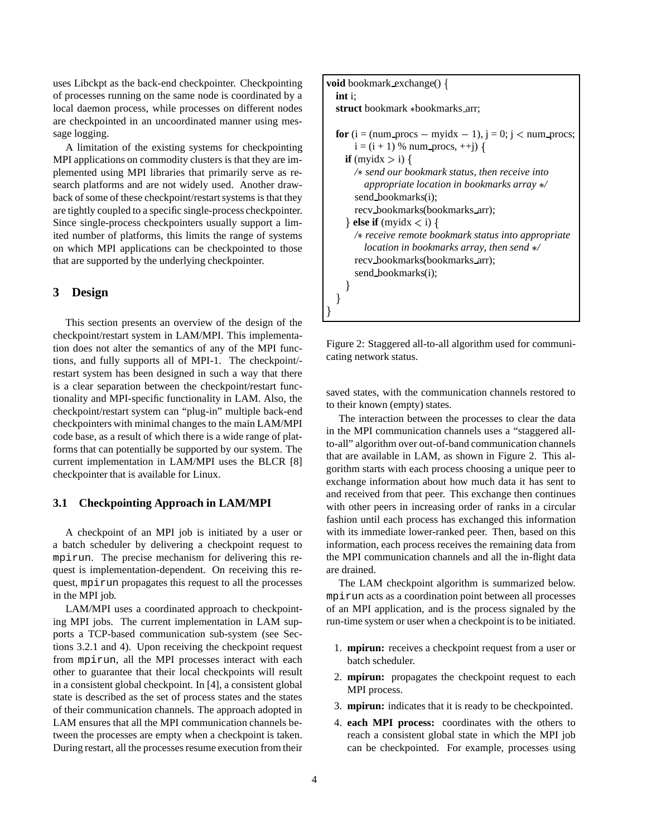uses Libckpt as the back-end checkpointer. Checkpointing of processes running on the same node is coordinated by a local daemon process, while processes on different nodes are checkpointed in an uncoordinated manner using message logging.

A limitation of the existing systems for checkpointing MPI applications on commodity clusters is that they are implemented using MPI libraries that primarily serve as research platforms and are not widely used. Another drawback of some of these checkpoint/restart systems is that they are tightly coupled to a specific single-process checkpointer. Since single-process checkpointers usually support a limited number of platforms, this limits the range of systems on which MPI applications can be checkpointed to those that are supported by the underlying checkpointer.

## **3 Design**

This section presents an overview of the design of the checkpoint/restart system in LAM/MPI. This implementation does not alter the semantics of any of the MPI functions, and fully supports all of MPI-1. The checkpoint/ restart system has been designed in such a way that there is a clear separation between the checkpoint/restart functionality and MPI-specific functionality in LAM. Also, the checkpoint/restart system can "plug-in" multiple back-end checkpointers with minimal changes to the main LAM/MPI code base, as a result of which there is a wide range of platforms that can potentially be supported by our system. The current implementation in LAM/MPI uses the BLCR [8] checkpointer that is available for Linux.

#### **3.1 Checkpointing Approach in LAM/MPI**

A checkpoint of an MPI job is initiated by a user or a batch scheduler by delivering a checkpoint request to mpirun. The precise mechanism for delivering this request is implementation-dependent. On receiving this request, mpirun propagates this request to all the processes in the MPI job.

LAM/MPI uses a coordinated approach to checkpointing MPI jobs. The current implementation in LAM supports a TCP-based communication sub-system (see Sections 3.2.1 and 4). Upon receiving the checkpoint request from mpirun, all the MPI processes interact with each other to guarantee that their local checkpoints will result in a consistent global checkpoint. In [4], a consistent global state is described as the set of process states and the states of their communication channels. The approach adopted in LAM ensures that all the MPI communication channels between the processes are empty when a checkpoint is taken. During restart, all the processes resume execution from their

| <b>void</b> bookmark exchange() {                               |  |  |  |  |
|-----------------------------------------------------------------|--|--|--|--|
| $int$ i:                                                        |  |  |  |  |
| <b>struct</b> bookmark *bookmarks_arr;                          |  |  |  |  |
|                                                                 |  |  |  |  |
| for $(i = (num\_process - myidx - 1), j = 0; j < num\_process;$ |  |  |  |  |
| $i = (i + 1) %$ num_procs, ++j) {                               |  |  |  |  |
| <b>if</b> (myidx $>$ i) {                                       |  |  |  |  |
| $\frac{1}{2}$ send our bookmark status, then receive into       |  |  |  |  |
| appropriate location in bookmarks array $\ast/$                 |  |  |  |  |
| send_bookmarks(i);                                              |  |  |  |  |
| recv_bookmarks(bookmarks_arr);                                  |  |  |  |  |
| } else if $(myidx < i)$ {                                       |  |  |  |  |
| /* receive remote bookmark status into appropriate              |  |  |  |  |
| location in bookmarks array, then send */                       |  |  |  |  |
| recv_bookmarks(bookmarks_arr);                                  |  |  |  |  |
| send_bookmarks(i);                                              |  |  |  |  |
|                                                                 |  |  |  |  |
|                                                                 |  |  |  |  |
|                                                                 |  |  |  |  |

Figure 2: Staggered all-to-all algorithm used for communicating network status.

saved states, with the communication channels restored to to their known (empty) states.

The interaction between the processes to clear the data in the MPI communication channels uses a "staggered allto-all" algorithm over out-of-band communication channels that are available in LAM, as shown in Figure 2. This algorithm starts with each process choosing a unique peer to exchange information about how much data it has sent to and received from that peer. This exchange then continues with other peers in increasing order of ranks in a circular fashion until each process has exchanged this information with its immediate lower-ranked peer. Then, based on this information, each process receives the remaining data from the MPI communication channels and all the in-flight data are drained.

The LAM checkpoint algorithm is summarized below. mpirun acts as a coordination point between all processes of an MPI application, and is the process signaled by the run-time system or user when a checkpoint is to be initiated.

- 1. **mpirun:** receives a checkpoint request from a user or batch scheduler.
- 2. **mpirun:** propagates the checkpoint request to each MPI process.
- 3. **mpirun:** indicates that it is ready to be checkpointed.
- 4. **each MPI process:** coordinates with the others to reach a consistent global state in which the MPI job can be checkpointed. For example, processes using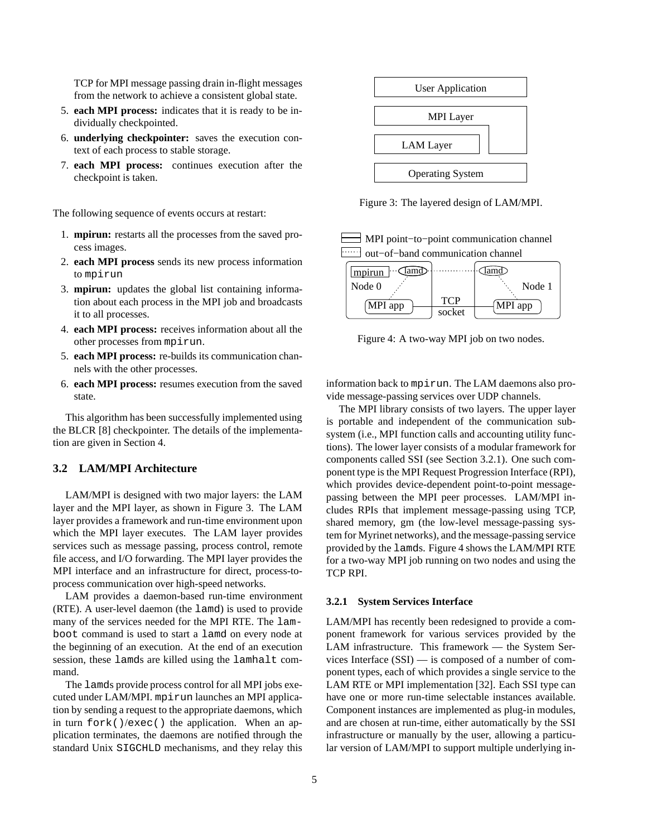TCP for MPI message passing drain in-flight messages from the network to achieve a consistent global state.

- 5. **each MPI process:** indicates that it is ready to be individually checkpointed.
- 6. **underlying checkpointer:** saves the execution context of each process to stable storage.
- 7. **each MPI process:** continues execution after the checkpoint is taken.

The following sequence of events occurs at restart:

- 1. **mpirun:** restarts all the processes from the saved process images.
- 2. **each MPI process** sends its new process information to mpirun
- 3. **mpirun:** updates the global list containing information about each process in the MPI job and broadcasts it to all processes.
- 4. **each MPI process:** receives information about all the other processes from mpirun.
- 5. **each MPI process:** re-builds its communication channels with the other processes.
- 6. **each MPI process:** resumes execution from the saved state.

This algorithm has been successfully implemented using the BLCR [8] checkpointer. The details of the implementation are given in Section 4.

#### **3.2 LAM/MPI Architecture**

LAM/MPI is designed with two major layers: the LAM layer and the MPI layer, as shown in Figure 3. The LAM layer provides a framework and run-time environment upon which the MPI layer executes. The LAM layer provides services such as message passing, process control, remote file access, and I/O forwarding. The MPI layer provides the MPI interface and an infrastructure for direct, process-toprocess communication over high-speed networks.

LAM provides a daemon-based run-time environment (RTE). A user-level daemon (the lamd) is used to provide many of the services needed for the MPI RTE. The lamboot command is used to start a lamd on every node at the beginning of an execution. At the end of an execution session, these lamds are killed using the lamhalt command.

The lamds provide process control for all MPI jobs executed under LAM/MPI. mpirun launches an MPI application by sending a request to the appropriate daemons, which in turn fork()/exec() the application. When an application terminates, the daemons are notified through the standard Unix SIGCHLD mechanisms, and they relay this



Figure 3: The layered design of LAM/MPI.

MPI point−to−point communication channel



Figure 4: A two-way MPI job on two nodes.

information back to mpirun. The LAM daemons also provide message-passing services over UDP channels.

The MPI library consists of two layers. The upper layer is portable and independent of the communication subsystem (i.e., MPI function calls and accounting utility functions). The lower layer consists of a modular framework for components called SSI (see Section 3.2.1). One such component type is the MPI Request Progression Interface (RPI), which provides device-dependent point-to-point messagepassing between the MPI peer processes. LAM/MPI includes RPIs that implement message-passing using TCP, shared memory, gm (the low-level message-passing system for Myrinet networks), and the message-passing service provided by the lamds. Figure 4 shows the LAM/MPI RTE for a two-way MPI job running on two nodes and using the TCP RPI.

#### **3.2.1 System Services Interface**

LAM/MPI has recently been redesigned to provide a component framework for various services provided by the LAM infrastructure. This framework — the System Services Interface (SSI) — is composed of a number of component types, each of which provides a single service to the LAM RTE or MPI implementation [32]. Each SSI type can have one or more run-time selectable instances available. Component instances are implemented as plug-in modules, and are chosen at run-time, either automatically by the SSI infrastructure or manually by the user, allowing a particular version of LAM/MPI to support multiple underlying in-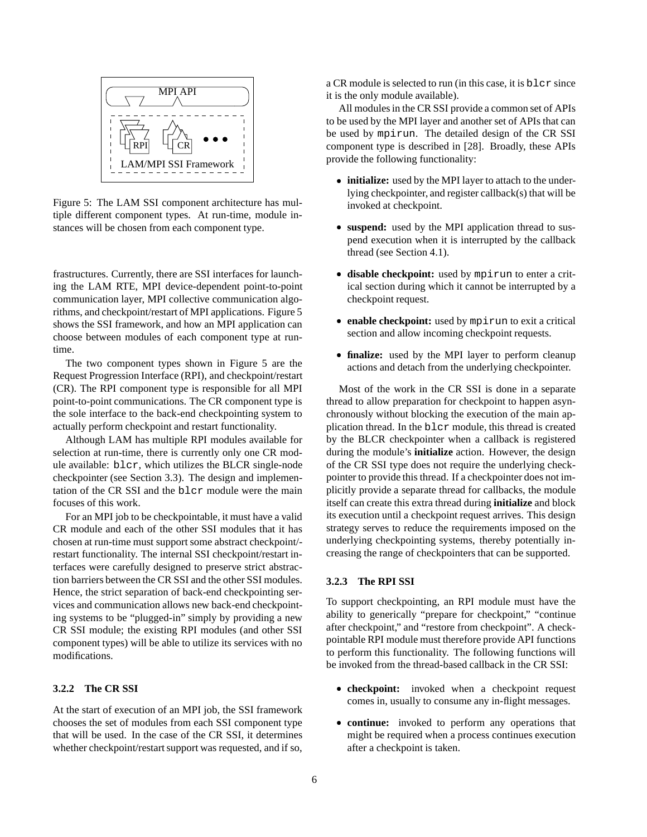

Figure 5: The LAM SSI component architecture has multiple different component types. At run-time, module instances will be chosen from each component type.

frastructures. Currently, there are SSI interfaces for launching the LAM RTE, MPI device-dependent point-to-point communication layer, MPI collective communication algorithms, and checkpoint/restart of MPI applications. Figure 5 shows the SSI framework, and how an MPI application can choose between modules of each component type at runtime.

The two component types shown in Figure 5 are the Request Progression Interface (RPI), and checkpoint/restart (CR). The RPI component type is responsible for all MPI point-to-point communications. The CR component type is the sole interface to the back-end checkpointing system to actually perform checkpoint and restart functionality.

Although LAM has multiple RPI modules available for selection at run-time, there is currently only one CR module available: blcr, which utilizes the BLCR single-node checkpointer (see Section 3.3). The design and implementation of the CR SSI and the blcr module were the main focuses of this work.

For an MPI job to be checkpointable, it must have a valid CR module and each of the other SSI modules that it has chosen at run-time must support some abstract checkpoint/ restart functionality. The internal SSI checkpoint/restart interfaces were carefully designed to preserve strict abstraction barriers between the CR SSI and the other SSI modules. Hence, the strict separation of back-end checkpointing services and communication allows new back-end checkpointing systems to be "plugged-in" simply by providing a new CR SSI module; the existing RPI modules (and other SSI component types) will be able to utilize its services with no modifications.

#### **3.2.2 The CR SSI**

At the start of execution of an MPI job, the SSI framework chooses the set of modules from each SSI component type that will be used. In the case of the CR SSI, it determines whether checkpoint/restart support was requested, and if so,

a CR module is selected to run (in this case, it is blcr since it is the only module available).

All modulesin the CR SSI provide a common set of APIs to be used by the MPI layer and another set of APIs that can be used by mpirun. The detailed design of the CR SSI component type is described in [28]. Broadly, these APIs provide the following functionality:

- **initialize:** used by the MPI layer to attach to the underlying checkpointer, and register callback(s) that will be invoked at checkpoint.
- **suspend:** used by the MPI application thread to suspend execution when it is interrupted by the callback thread (see Section 4.1).
- **disable checkpoint:** used by mpirun to enter a critical section during which it cannot be interrupted by a checkpoint request.
- **enable checkpoint:** used by mpirun to exit a critical section and allow incoming checkpoint requests.
- **finalize:** used by the MPI layer to perform cleanup actions and detach from the underlying checkpointer.

Most of the work in the CR SSI is done in a separate thread to allow preparation for checkpoint to happen asynchronously without blocking the execution of the main application thread. In the blcr module, this thread is created by the BLCR checkpointer when a callback is registered during the module's **initialize** action. However, the design of the CR SSI type does not require the underlying checkpointer to provide this thread. If a checkpointer does not implicitly provide a separate thread for callbacks, the module itself can create this extra thread during **initialize** and block its execution until a checkpoint request arrives. This design strategy serves to reduce the requirements imposed on the underlying checkpointing systems, thereby potentially increasing the range of checkpointers that can be supported.

### **3.2.3 The RPI SSI**

To support checkpointing, an RPI module must have the ability to generically "prepare for checkpoint," "continue after checkpoint," and "restore from checkpoint". A checkpointable RPI module must therefore provide API functions to perform this functionality. The following functions will be invoked from the thread-based callback in the CR SSI:

- **checkpoint:** invoked when a checkpoint request comes in, usually to consume any in-flight messages.
- **continue:** invoked to perform any operations that might be required when a process continues execution after a checkpoint is taken.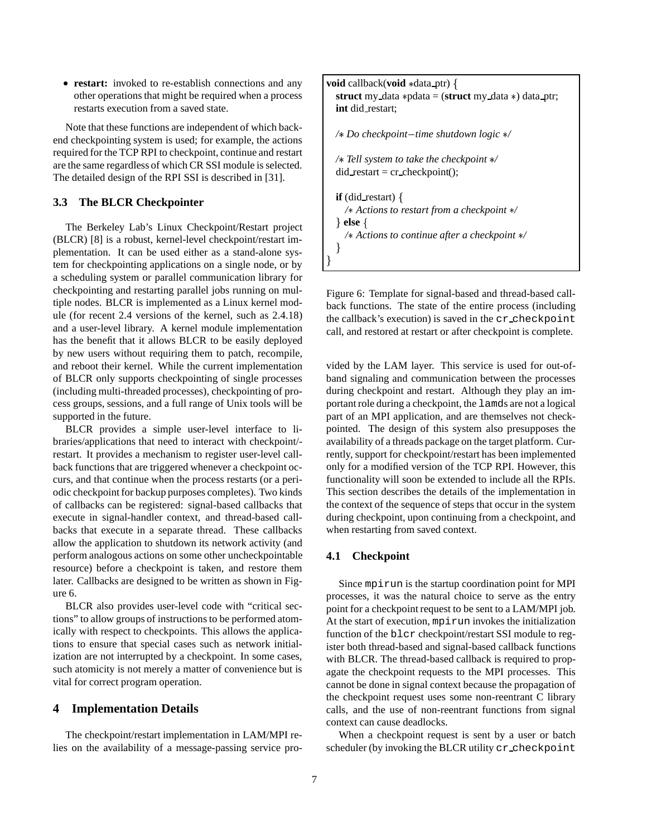**restart:** invoked to re-establish connections and any other operations that might be required when a process restarts execution from a saved state.

Note that these functions are independent of which backend checkpointing system is used; for example, the actions required for the TCP RPI to checkpoint, continue and restart are the same regardless of which CR SSI module is selected. The detailed design of the RPI SSI is described in [31].

#### **3.3 The BLCR Checkpointer**

The Berkeley Lab's Linux Checkpoint/Restart project (BLCR) [8] is a robust, kernel-level checkpoint/restart implementation. It can be used either as a stand-alone system for checkpointing applications on a single node, or by a scheduling system or parallel communication library for checkpointing and restarting parallel jobs running on multiple nodes. BLCR is implemented as a Linux kernel module (for recent 2.4 versions of the kernel, such as 2.4.18) and a user-level library. A kernel module implementation has the benefit that it allows BLCR to be easily deployed by new users without requiring them to patch, recompile, and reboot their kernel. While the current implementation of BLCR only supports checkpointing of single processes (including multi-threaded processes), checkpointing of process groups, sessions, and a full range of Unix tools will be supported in the future.

BLCR provides a simple user-level interface to libraries/applications that need to interact with checkpoint/ restart. It provides a mechanism to register user-level callback functions that are triggered whenever a checkpoint occurs, and that continue when the process restarts (or a periodic checkpoint for backup purposes completes). Two kinds of callbacks can be registered: signal-based callbacks that execute in signal-handler context, and thread-based callbacks that execute in a separate thread. These callbacks allow the application to shutdown its network activity (and perform analogous actions on some other uncheckpointable resource) before a checkpoint is taken, and restore them later. Callbacks are designed to be written as shown in Figure 6.

BLCR also provides user-level code with "critical sections" to allow groups of instructions to be performed atomically with respect to checkpoints. This allows the applications to ensure that special cases such as network initialization are not interrupted by a checkpoint. In some cases, such atomicity is not merely a matter of convenience but is vital for correct program operation.

## **4 Implementation Details**

The checkpoint/restart implementation in LAM/MPI relies on the availability of a message-passing service pro-

Figure 6: Template for signal-based and thread-based callback functions. The state of the entire process (including the callback's execution) is saved in the cr checkpoint call, and restored at restart or after checkpoint is complete.

vided by the LAM layer. This service is used for out-ofband signaling and communication between the processes during checkpoint and restart. Although they play an important role during a checkpoint, the lamds are not a logical part of an MPI application, and are themselves not checkpointed. The design of this system also presupposes the availability of a threads package on the target platform. Currently, support for checkpoint/restart has been implemented only for a modified version of the TCP RPI. However, this functionality will soon be extended to include all the RPIs. This section describes the details of the implementation in the context of the sequence of steps that occur in the system during checkpoint, upon continuing from a checkpoint, and when restarting from saved context.

## **4.1 Checkpoint**

 $\mathbf{r}$ 

Since mpirun is the startup coordination point for MPI processes, it was the natural choice to serve as the entry point for a checkpoint request to be sent to a LAM/MPI job. At the start of execution, mpirun invokes the initialization function of the blcr checkpoint/restart SSI module to register both thread-based and signal-based callback functions with BLCR. The thread-based callback is required to propagate the checkpoint requests to the MPI processes. This cannot be done in signal context because the propagation of the checkpoint request uses some non-reentrant C library calls, and the use of non-reentrant functions from signal context can cause deadlocks.

When a checkpoint request is sent by a user or batch scheduler (by invoking the BLCR utility cr checkpoint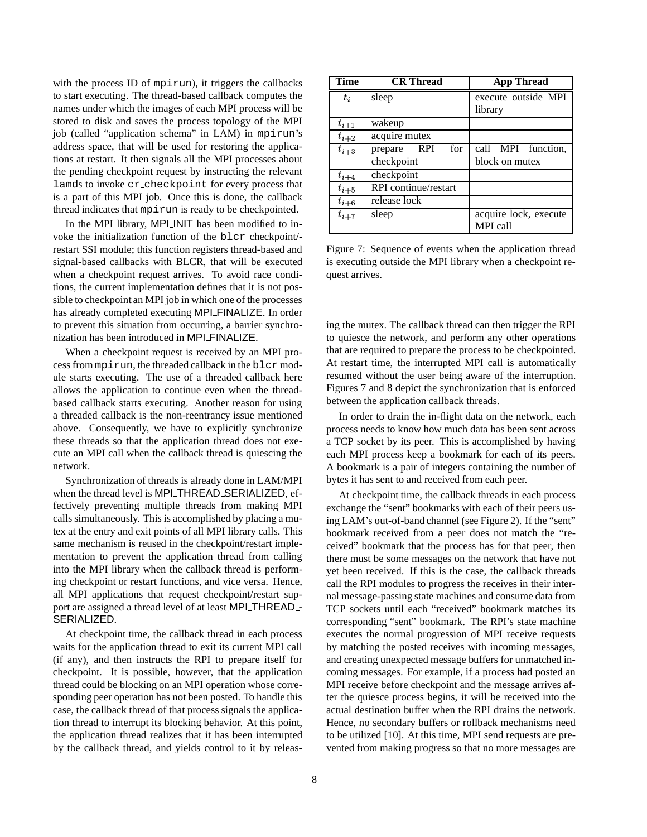with the process ID of mpirun), it triggers the callbacks to start executing. The thread-based callback computes the names under which the images of each MPI process will be stored to disk and saves the process topology of the MPI job (called "application schema" in LAM) in mpirun's address space, that will be used for restoring the applications at restart. It then signals all the MPI processes about the pending checkpoint request by instructing the relevant lamds to invoke cr checkpoint for every process that is a part of this MPI job. Once this is done, the callback thread indicates that mpirun is ready to be checkpointed.

In the MPI library, MPI INIT has been modified to invoke the initialization function of the blcr checkpoint/ restart SSI module; this function registers thread-based and signal-based callbacks with BLCR, that will be executed when a checkpoint request arrives. To avoid race conditions, the current implementation defines that it is not possible to checkpoint an MPI job in which one of the processes has already completed executing MPI FINALIZE. In order to prevent this situation from occurring, a barrier synchronization has been introduced in MPI FINALIZE.

When a checkpoint request is received by an MPI process from mpirun, the threaded callback in the blcr module starts executing. The use of a threaded callback here allows the application to continue even when the threadbased callback starts executing. Another reason for using a threaded callback is the non-reentrancy issue mentioned above. Consequently, we have to explicitly synchronize these threads so that the application thread does not execute an MPI call when the callback thread is quiescing the network.

Synchronization of threads is already done in LAM/MPI when the thread level is MPI THREAD SERIALIZED, effectively preventing multiple threads from making MPI calls simultaneously. This is accomplished by placing a mutex at the entry and exit points of all MPI library calls. This same mechanism is reused in the checkpoint/restart implementation to prevent the application thread from calling into the MPI library when the callback thread is performing checkpoint or restart functions, and vice versa. Hence, all MPI applications that request checkpoint/restart support are assigned a thread level of at least MPI THREAD - SERIALIZED.

At checkpoint time, the callback thread in each process waits for the application thread to exit its current MPI call (if any), and then instructs the RPI to prepare itself for checkpoint. It is possible, however, that the application thread could be blocking on an MPI operation whose corresponding peer operation has not been posted. To handle this case, the callback thread of that process signals the application thread to interrupt its blocking behavior. At this point, the application thread realizes that it has been interrupted by the callback thread, and yields control to it by releas-

| <b>Time</b> | <b>CR</b> Thread             | <b>App Thread</b>     |
|-------------|------------------------------|-----------------------|
| $t_i$       | sleep                        | execute outside MPI   |
|             |                              | library               |
| $t_{i+1}$   | wakeup                       |                       |
| $t_{i+2}$   | acquire mutex                |                       |
| $t_{i+3}$   | for<br><b>RPI</b><br>prepare | call MPI function,    |
|             | checkpoint                   | block on mutex        |
| $t_{i+4}$   | checkpoint                   |                       |
| $t_{i+5}$   | RPI continue/restart         |                       |
| $t_{i+6}$   | release lock                 |                       |
| $t_{i+7}$   | sleep                        | acquire lock, execute |
|             |                              | MPI call              |

Figure 7: Sequence of events when the application thread is executing outside the MPI library when a checkpoint request arrives.

ing the mutex. The callback thread can then trigger the RPI to quiesce the network, and perform any other operations that are required to prepare the process to be checkpointed. At restart time, the interrupted MPI call is automatically resumed without the user being aware of the interruption. Figures 7 and 8 depict the synchronization that is enforced between the application callback threads.

In order to drain the in-flight data on the network, each process needs to know how much data has been sent across a TCP socket by its peer. This is accomplished by having each MPI process keep a bookmark for each of its peers. A bookmark is a pair of integers containing the number of bytes it has sent to and received from each peer.

At checkpoint time, the callback threads in each process exchange the "sent" bookmarks with each of their peers using LAM's out-of-band channel (see Figure 2). If the "sent" bookmark received from a peer does not match the "received" bookmark that the process has for that peer, then there must be some messages on the network that have not yet been received. If this is the case, the callback threads call the RPI modules to progress the receives in their internal message-passing state machines and consume data from TCP sockets until each "received" bookmark matches its corresponding "sent" bookmark. The RPI's state machine executes the normal progression of MPI receive requests by matching the posted receives with incoming messages, and creating unexpected message buffers for unmatched incoming messages. For example, if a process had posted an MPI receive before checkpoint and the message arrives after the quiesce process begins, it will be received into the actual destination buffer when the RPI drains the network. Hence, no secondary buffers or rollback mechanisms need to be utilized [10]. At this time, MPI send requests are prevented from making progress so that no more messages are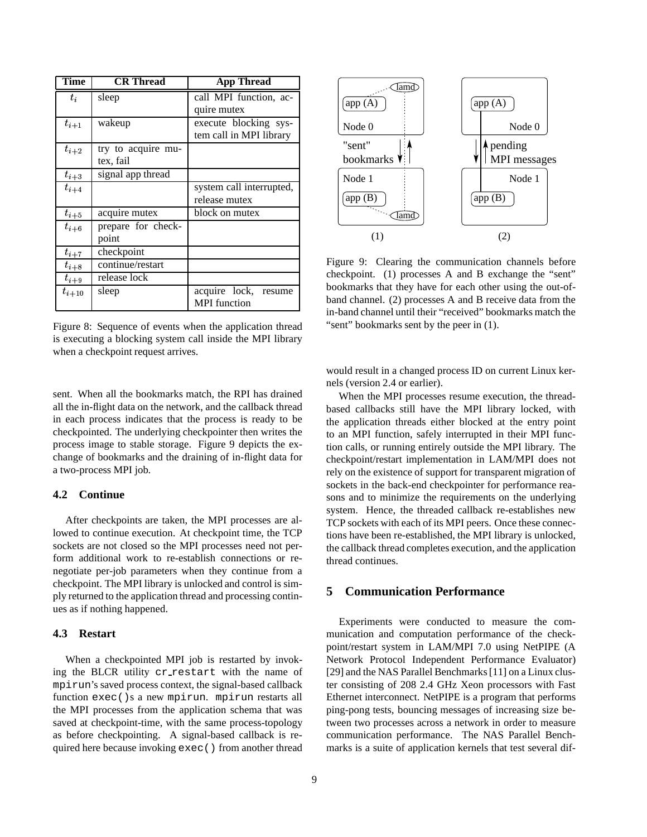| <b>Time</b> | <b>CR</b> Thread   | <b>App Thread</b>        |
|-------------|--------------------|--------------------------|
| $t_i$       | sleep              | call MPI function, ac-   |
|             |                    | quire mutex              |
| $t_{i+1}$   | wakeup             | execute blocking sys-    |
|             |                    | tem call in MPI library  |
| $t_{i+2}$   | try to acquire mu- |                          |
|             | tex, fail          |                          |
| $t_{i+3}$   | signal app thread  |                          |
| $t_{i+4}$   |                    | system call interrupted, |
|             |                    | release mutex            |
| $t_{i+5}$   | acquire mutex      | block on mutex           |
| $t_{i+6}$   | prepare for check- |                          |
|             | point              |                          |
| $t_{i+7}$   | checkpoint         |                          |
| $t_{i+8}$   | continue/restart   |                          |
| $t_{i+9}$   | release lock       |                          |
| $t_{i+10}$  | sleep              | acquire lock, resume     |
|             |                    | <b>MPI</b> function      |

Figure 8: Sequence of events when the application thread is executing a blocking system call inside the MPI library when a checkpoint request arrives.

sent. When all the bookmarks match, the RPI has drained all the in-flight data on the network, and the callback thread in each process indicates that the process is ready to be checkpointed. The underlying checkpointer then writes the process image to stable storage. Figure 9 depicts the exchange of bookmarks and the draining of in-flight data for a two-process MPI job.

## **4.2 Continue**

After checkpoints are taken, the MPI processes are allowed to continue execution. At checkpoint time, the TCP sockets are not closed so the MPI processes need not perform additional work to re-establish connections or renegotiate per-job parameters when they continue from a checkpoint. The MPI library is unlocked and control is simply returned to the application thread and processing continues as if nothing happened.

## **4.3 Restart**

When a checkpointed MPI job is restarted by invoking the BLCR utility cr restart with the name of mpirun's saved process context, the signal-based callback function exec()s a new mpirun. mpirun restarts all the MPI processes from the application schema that was saved at checkpoint-time, with the same process-topology as before checkpointing. A signal-based callback is required here because invoking exec() from another thread



Figure 9: Clearing the communication channels before checkpoint. (1) processes A and B exchange the "sent" bookmarks that they have for each other using the out-ofband channel. (2) processes A and B receive data from the in-band channel until their "received" bookmarks match the "sent" bookmarks sent by the peer in  $(1)$ .

would result in a changed process ID on current Linux kernels (version 2.4 or earlier).

When the MPI processes resume execution, the threadbased callbacks still have the MPI library locked, with the application threads either blocked at the entry point to an MPI function, safely interrupted in their MPI function calls, or running entirely outside the MPI library. The checkpoint/restart implementation in LAM/MPI does not rely on the existence of support for transparent migration of sockets in the back-end checkpointer for performance reasons and to minimize the requirements on the underlying system. Hence, the threaded callback re-establishes new TCP sockets with each of its MPI peers. Once these connections have been re-established, the MPI library is unlocked, the callback thread completes execution, and the application thread continues.

## **5 Communication Performance**

Experiments were conducted to measure the communication and computation performance of the checkpoint/restart system in LAM/MPI 7.0 using NetPIPE (A Network Protocol Independent Performance Evaluator) [29] and the NAS Parallel Benchmarks [11] on a Linux cluster consisting of 208 2.4 GHz Xeon processors with Fast Ethernet interconnect. NetPIPE is a program that performs ping-pong tests, bouncing messages of increasing size between two processes across a network in order to measure communication performance. The NAS Parallel Benchmarks is a suite of application kernels that test several dif-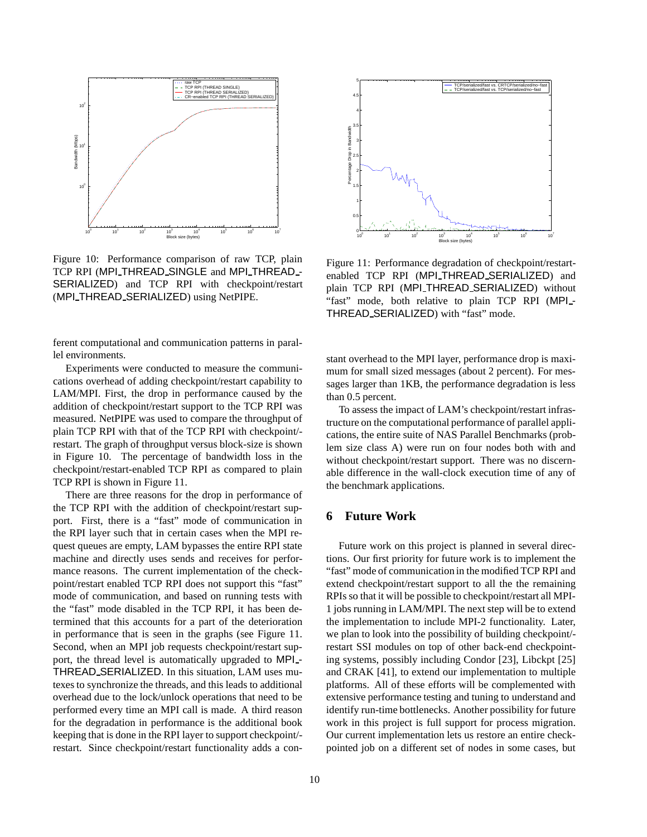

Figure 10: Performance comparison of raw TCP, plain TCP RPI (MPI\_THREAD\_SINGLE and MPI\_THREAD\_-SERIALIZED) and TCP RPI with checkpoint/restart (MPI THREAD SERIALIZED) using NetPIPE.

ferent computational and communication patterns in parallel environments.

Experiments were conducted to measure the communications overhead of adding checkpoint/restart capability to LAM/MPI. First, the drop in performance caused by the addition of checkpoint/restart support to the TCP RPI was measured. NetPIPE was used to compare the throughput of plain TCP RPI with that of the TCP RPI with checkpoint/ restart. The graph of throughput versus block-size is shown in Figure 10. The percentage of bandwidth loss in the checkpoint/restart-enabled TCP RPI as compared to plain TCP RPI is shown in Figure 11.

There are three reasons for the drop in performance of the TCP RPI with the addition of checkpoint/restart support. First, there is a "fast" mode of communication in the RPI layer such that in certain cases when the MPI request queues are empty, LAM bypasses the entire RPI state machine and directly uses sends and receives for performance reasons. The current implementation of the checkpoint/restart enabled TCP RPI does not support this "fast" mode of communication, and based on running tests with the "fast" mode disabled in the TCP RPI, it has been determined that this accounts for a part of the deterioration in performance that is seen in the graphs (see Figure 11. Second, when an MPI job requests checkpoint/restart support, the thread level is automatically upgraded to MPI - THREAD SERIALIZED. In this situation, LAM uses mutexes to synchronize the threads, and this leads to additional overhead due to the lock/unlock operations that need to be performed every time an MPI call is made. A third reason for the degradation in performance is the additional book keeping that is done in the RPI layer to support checkpoint/ restart. Since checkpoint/restart functionality adds a con-



Figure 11: Performance degradation of checkpoint/restartenabled TCP RPI (MPI\_THREAD\_SERIALIZED) and plain TCP RPI (MPI THREAD SERIALIZED) without "fast" mode, both relative to plain TCP RPI (MPI-THREAD SERIALIZED) with "fast" mode.

stant overhead to the MPI layer, performance drop is maximum for small sized messages (about 2 percent). For messages larger than 1KB, the performance degradation is less than 0.5 percent.

To assess the impact of LAM's checkpoint/restart infrastructure on the computational performance of parallel applications, the entire suite of NAS Parallel Benchmarks (problem size class A) were run on four nodes both with and without checkpoint/restart support. There was no discernable difference in the wall-clock execution time of any of the benchmark applications.

## **6 Future Work**

Future work on this project is planned in several directions. Our first priority for future work is to implement the "fast" mode of communication in the modified TCP RPI and extend checkpoint/restart support to all the the remaining RPIs so that it will be possible to checkpoint/restart all MPI-1 jobs running in LAM/MPI. The next step will be to extend the implementation to include MPI-2 functionality. Later, we plan to look into the possibility of building checkpoint/ restart SSI modules on top of other back-end checkpointing systems, possibly including Condor [23], Libckpt [25] and CRAK [41], to extend our implementation to multiple platforms. All of these efforts will be complemented with extensive performance testing and tuning to understand and identify run-time bottlenecks. Another possibility for future work in this project is full support for process migration. Our current implementation lets us restore an entire checkpointed job on a different set of nodes in some cases, but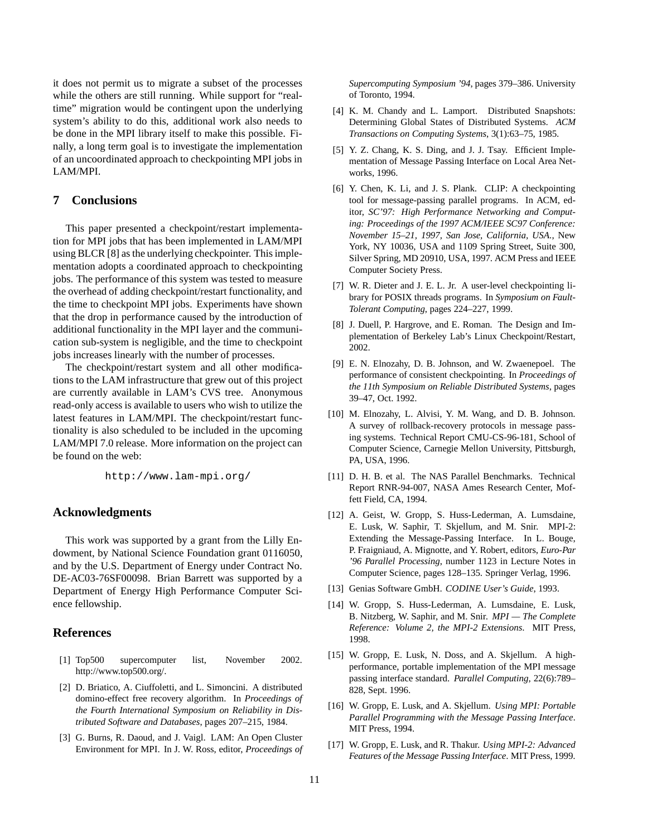it does not permit us to migrate a subset of the processes while the others are still running. While support for "realtime" migration would be contingent upon the underlying system's ability to do this, additional work also needs to be done in the MPI library itself to make this possible. Finally, a long term goal is to investigate the implementation of an uncoordinated approach to checkpointing MPI jobs in LAM/MPI.

## **7 Conclusions**

This paper presented a checkpoint/restart implementation for MPI jobs that has been implemented in LAM/MPI using BLCR [8] as the underlying checkpointer. This implementation adopts a coordinated approach to checkpointing jobs. The performance of this system was tested to measure the overhead of adding checkpoint/restart functionality, and the time to checkpoint MPI jobs. Experiments have shown that the drop in performance caused by the introduction of additional functionality in the MPI layer and the communication sub-system is negligible, and the time to checkpoint jobs increases linearly with the number of processes.

The checkpoint/restart system and all other modifications to the LAM infrastructure that grew out of this project are currently available in LAM's CVS tree. Anonymous read-only access is available to users who wish to utilize the latest features in LAM/MPI. The checkpoint/restart functionality is also scheduled to be included in the upcoming LAM/MPI 7.0 release. More information on the project can be found on the web:

http://www.lam-mpi.org/

### **Acknowledgments**

This work was supported by a grant from the Lilly Endowment, by National Science Foundation grant 0116050, and by the U.S. Department of Energy under Contract No. DE-AC03-76SF00098. Brian Barrett was supported by a Department of Energy High Performance Computer Science fellowship.

### **References**

- [1] Top500 supercomputer list, November 2002. http://www.top500.org/.
- [2] D. Briatico, A. Ciuffoletti, and L. Simoncini. A distributed domino-effect free recovery algorithm. In *Proceedings of the Fourth International Symposium on Reliability in Distributed Software and Databases*, pages 207–215, 1984.
- [3] G. Burns, R. Daoud, and J. Vaigl. LAM: An Open Cluster Environment for MPI. In J. W. Ross, editor, *Proceedings of*

*Supercomputing Symposium '94*, pages 379–386. University of Toronto, 1994.

- [4] K. M. Chandy and L. Lamport. Distributed Snapshots: Determining Global States of Distributed Systems. *ACM Transactions on Computing Systems*, 3(1):63–75, 1985.
- [5] Y. Z. Chang, K. S. Ding, and J. J. Tsay. Efficient Implementation of Message Passing Interface on Local Area Networks, 1996.
- [6] Y. Chen, K. Li, and J. S. Plank. CLIP: A checkpointing tool for message-passing parallel programs. In ACM, editor, *SC'97: High Performance Networking and Computing: Proceedings of the 1997 ACM/IEEE SC97 Conference: November 15–21, 1997, San Jose, California, USA.*, New York, NY 10036, USA and 1109 Spring Street, Suite 300, Silver Spring, MD 20910, USA, 1997. ACM Press and IEEE Computer Society Press.
- [7] W. R. Dieter and J. E. L. Jr. A user-level checkpointing library for POSIX threads programs. In *Symposium on Fault-Tolerant Computing*, pages 224–227, 1999.
- [8] J. Duell, P. Hargrove, and E. Roman. The Design and Implementation of Berkeley Lab's Linux Checkpoint/Restart, 2002.
- [9] E. N. Elnozahy, D. B. Johnson, and W. Zwaenepoel. The performance of consistent checkpointing. In *Proceedings of the 11th Symposium on Reliable Distributed Systems*, pages 39–47, Oct. 1992.
- [10] M. Elnozahy, L. Alvisi, Y. M. Wang, and D. B. Johnson. A survey of rollback-recovery protocols in message passing systems. Technical Report CMU-CS-96-181, School of Computer Science, Carnegie Mellon University, Pittsburgh, PA, USA, 1996.
- [11] D. H. B. et al. The NAS Parallel Benchmarks. Technical Report RNR-94-007, NASA Ames Research Center, Moffett Field, CA, 1994.
- [12] A. Geist, W. Gropp, S. Huss-Lederman, A. Lumsdaine, E. Lusk, W. Saphir, T. Skjellum, and M. Snir. MPI-2: Extending the Message-Passing Interface. In L. Bouge, P. Fraigniaud, A. Mignotte, and Y. Robert, editors, *Euro-Par '96 Parallel Processing*, number 1123 in Lecture Notes in Computer Science, pages 128–135. Springer Verlag, 1996.
- [13] Genias Software GmbH. *CODINE User's Guide*, 1993.
- [14] W. Gropp, S. Huss-Lederman, A. Lumsdaine, E. Lusk, B. Nitzberg, W. Saphir, and M. Snir. *MPI — The Complete Reference: Volume 2, the MPI-2 Extensions*. MIT Press, 1998.
- [15] W. Gropp, E. Lusk, N. Doss, and A. Skjellum. A highperformance, portable implementation of the MPI message passing interface standard. *Parallel Computing*, 22(6):789– 828, Sept. 1996.
- [16] W. Gropp, E. Lusk, and A. Skjellum. *Using MPI: Portable Parallel Programming with the Message Passing Interface*. MIT Press, 1994.
- [17] W. Gropp, E. Lusk, and R. Thakur. *Using MPI-2: Advanced Features of the Message Passing Interface*. MIT Press, 1999.